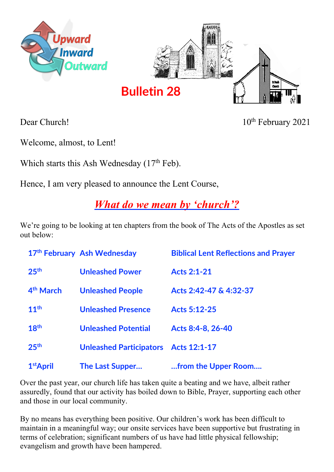



Dear Church! 10<sup>th</sup> February 2021

Welcome, almost, to Lent!

Which starts this Ash Wednesday  $(17<sup>th</sup>$  Feb).

Hence, I am very pleased to announce the Lent Course,

## *What do we mean by 'church'?*

We're going to be looking at ten chapters from the book of The Acts of the Apostles as set out below:

|                       | 17th February Ash Wednesday          | <b>Biblical Lent Reflections and Prayer</b> |
|-----------------------|--------------------------------------|---------------------------------------------|
| 25 <sup>th</sup>      | <b>Unleashed Power</b>               | <b>Acts 2:1-21</b>                          |
| 4 <sup>th</sup> March | <b>Unleashed People</b>              | Acts 2:42-47 & 4:32-37                      |
| 11 <sup>th</sup>      | <b>Unleashed Presence</b>            | <b>Acts 5:12-25</b>                         |
| 18 <sup>th</sup>      | <b>Unleashed Potential</b>           | Acts 8:4-8, 26-40                           |
| 25 <sup>th</sup>      | Unleashed Participators Acts 12:1-17 |                                             |
| 1 <sup>st</sup> April | <b>The Last Supper</b>               | from the Upper Room                         |

Over the past year, our church life has taken quite a beating and we have, albeit rather assuredly, found that our activity has boiled down to Bible, Prayer, supporting each other and those in our local community.

By no means has everything been positive. Our children's work has been difficult to maintain in a meaningful way; our onsite services have been supportive but frustrating in terms of celebration; significant numbers of us have had little physical fellowship; evangelism and growth have been hampered.